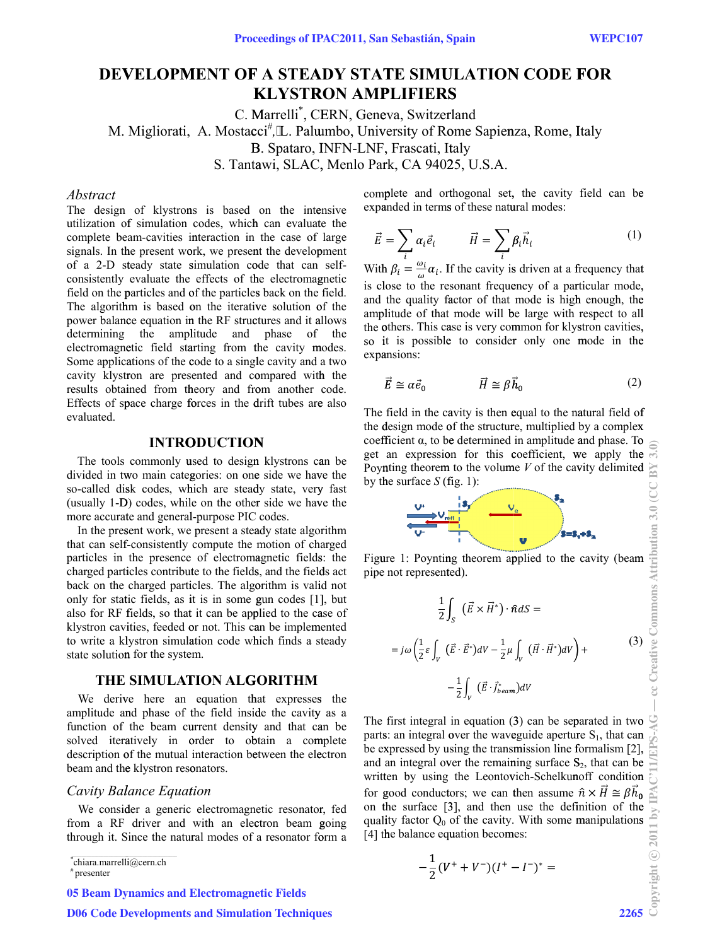# **DEVELOPMENT OF A STEADY STATE SIMULATION CODE FOR KLYSTRON AMPLIFIERS**

C. Marrelli<sup>\*</sup>, CERN, Geneva, Switzerland M. Migliorati, A. Mostacci<sup>#</sup>, 'L. Palumbo, University of Rome Sapienza, Rome, Italy B. Spataro, INFN-LNF, Frascati, Italy S. Tantawi, SLAC, Menlo Park, CA 94025, U.S.A.

## *Abstract*

The design of klystrons is based on the intensive utilization of simulation codes, which can evaluate the complete beam-cavities interaction in the case of large signals. In the present work, we present the development of a 2-D steady state simulation code that can selfconsistently evaluate the effects of the electromagnetic field on the particles and of the particles back on the field. The algorithm is based on the iterative solution of the power balance equation in the RF structures and it allows determining the amplitude and phase of the electromagnetic field starting from the cavity modes. Some applications of the code to a single cavity and a two cavity klystron are presented and compared with the results obtained from theory and from another code. Effects of space charge forces in the drift tubes are also evaluated.

#### **INTRODUCTION**

The tools commonly used to design klystrons can be divided in two main categories: on one side we have the so-called disk codes, which are steady state, very fast (usually 1-D) codes, while on the other side we have the more accurate and general-purpose PIC codes.

In the present work, we present a steady state algorithm that can self-consistently compute the motion of charged particles in the presence of electromagnetic fields: the charged particles contribute to the fields, and the fields act back on the charged particles. The algorithm is valid not only for static fields, as it is in some gun codes [1], but also for RF fields, so that it can be applied to the case of klystron cavities, feeded or not. This can be implemented to write a klystron simulation code which finds a steady state solution for the system.

## THE SIMULATION ALGORITHM

We derive here an equation that expresses the amplitude and phase of the field inside the cavity as a function of the beam current density and that can be solved iteratively in order to obtain a complete description of the mutual interaction between the electron beam and the klystron resonators.

## Cavity Balance Equation

We consider a generic electromagnetic resonator, fed from a RF driver and with an electron beam going through it. Since the natural modes of a resonator form a

chiara.marrelli@cern.ch

**05 Beam Dynamics and Electromagnetic Fields** 

complete and orthogonal set, the cavity field can be expanded in terms of these natural modes:

$$
\vec{E} = \sum_{i} \alpha_{i} \vec{e}_{i} \qquad \vec{H} = \sum_{i} \beta_{i} \vec{h}_{i} \qquad (1)
$$

With  $\beta_i = \frac{\omega_i}{\omega} \alpha_i$ . If the cavity is driven at a frequency that is close to the resonant frequency of a particular mode, and the quality factor of that mode is high enough, the amplitude of that mode will be large with respect to all the others. This case is very common for klystron cavities, so it is possible to consider only one mode in the expansions:

$$
\vec{E} \cong \alpha \vec{e}_0 \qquad \qquad \vec{H} \cong \beta \vec{h}_0 \tag{2}
$$

The field in the cavity is then equal to the natural field of the design mode of the structure, multiplied by a complex coefficient  $\alpha$ , to be determined in amplitude and phase. To get an expression for this coefficient, we apply the Poynting theorem to the volume  $V$  of the cavity delimited by the surface  $S$  (fig. 1):



Figure 1: Poynting theorem applied to the cavity (beam pipe not represented).

$$
\frac{1}{2} \int_{S} \left( \vec{E} \times \vec{H}^{*} \right) \cdot \hat{n} dS =
$$
\n
$$
= j\omega \left( \frac{1}{2} \varepsilon \int_{V} \left( \vec{E} \cdot \vec{E}^{*} \right) dV - \frac{1}{2} \mu \int_{V} \left( \vec{H} \cdot \vec{H}^{*} \right) dV \right) +
$$
\n
$$
- \frac{1}{2} \int_{V} \left( \vec{E} \cdot \vec{J}_{beam}^{*} \right) dV
$$
\n(3)

The first integral in equation (3) can be separated in two  $\mathcal{Q}$ parts: an integral over the waveguide aperture  $S_1$ , that can be expressed by using the transmission line formalism [2], and an integral over the remaining surface  $S_2$ , that can be written by using the Leontovich-Schelkunoff condition for good conductors; we can then assume  $\hat{n} \times \vec{H} \cong \beta \vec{h}_0$ on the surface [3], and then use the definition of the quality factor  $Q_0$  of the cavity. With some manipulations [4] the balance equation becomes:

$$
-\frac{1}{2}(V^+ + V^-)(I^+ - I^-)^* =
$$

 $*$  presenter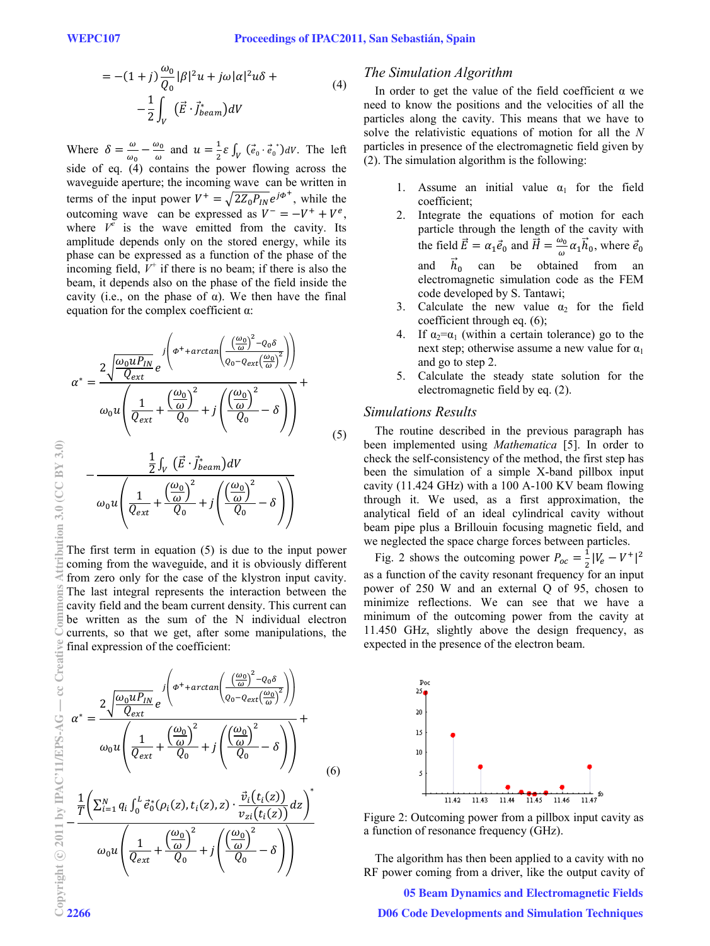$$
= -(1+j)\frac{\omega_0}{Q_0}|\beta|^2 u + j\omega|\alpha|^2 u\delta +
$$
  

$$
-\frac{1}{2}\int_V (\vec{E}\cdot\vec{J}_{beam}^*)dV
$$
 (4)

Where  $\delta = \frac{\omega}{\omega_0} - \frac{\omega_0}{\omega}$  and  $u = \frac{1}{2} \varepsilon \int_V (\vec{e}_0 \cdot \vec{e}_0$  $\int_V (\vec{e}_0 \cdot \vec{e}_0)^* dV$ . The left side of eq.  $(4)$  contains the power flowing across the waveguide aperture; the incoming wave can be written in terms of the input power  $V^+ = \sqrt{2Z_0 P_{IN}} e^{j\phi^+}$ , while the outcoming wave can be expressed as  $V^- = -V^+ + V^e$ , where  $V^e$  is the wave emitted from the cavity. Its amplitude depends only on the stored energy, while its phase can be expressed as a function of the phase of the incoming field,  $V^+$  if there is no beam; if there is also the beam, it depends also on the phase of the field inside the cavity (i.e., on the phase of  $\alpha$ ). We then have the final equation for the complex coefficient  $\alpha$ :

$$
\alpha^* = \frac{2\sqrt{\frac{\omega_0 u P_{IN}}{Q_{ext}}} e^{-\int \left(\phi^+ + \arctan\left(\frac{\left(\frac{\omega_0}{\omega}\right)^2 - Q_0 \delta}{Q_0 - Q_{ext}\left(\frac{\omega_0}{\omega}\right)^2}\right)\right)}}{\omega_0 u \left(\frac{1}{Q_{ext}} + \frac{\left(\frac{\omega_0}{\omega}\right)^2}{Q_0} + j\left(\frac{\left(\frac{\omega_0}{\omega}\right)^2}{Q_0} - \delta\right)\right)}
$$
(5)

$$
-\frac{\frac{1}{2}\int_{V}(\vec{E}\cdot\vec{J}_{beam}^{*})dV}{\omega_{0}u\left(\frac{1}{Q_{ext}}+\frac{(\frac{\omega_{0}}{\omega})^{2}}{Q_{0}}+j\left(\frac{(\frac{\omega_{0}}{\omega})^{2}}{Q_{0}}-\delta\right)\right)}
$$

The first term in equation (5) is due to the input power coming from the waveguide, and it is obviously different from zero only for the case of the klystron input cavity. The last integral represents the interaction between the cavity field and the beam current density. This current can be written as the sum of the N individual electron currents, so that we get, after some manipulations, the final expression of the coefficient:

$$
\alpha^* = \frac{2\sqrt{\frac{\omega_0 u P_{IN}}{Q_{ext}}} e^{-\int \left(\phi^+ + \arctan\left(\frac{\left(\frac{\omega_0}{\omega}\right)^2 - Q_0 \delta}{Q_0 - Q_{ext}\left(\frac{\omega_0}{\omega}\right)^2}\right)\right)}}{\omega_0 u \left(\frac{1}{Q_{ext}} + \frac{\left(\frac{\omega_0}{\omega}\right)^2}{Q_0} + j\left(\frac{\left(\frac{\omega_0}{\omega}\right)^2}{Q_0} - \delta\right)\right)} + \frac{1}{Q_0}
$$
\n(6)

$$
-\frac{\frac{1}{T}\left(\sum_{i=1}^{N}q_{i}\int_{0}^{L}\vec{e}_{0}^{*}(\rho_{i}(z),t_{i}(z),z)\cdot\frac{\vec{v}_{i}(t_{i}(z))}{v_{zi}(t_{i}(z))}dz\right)^{2}}{\omega_{0}u\left(\frac{1}{Q_{ext}}+\frac{\left(\frac{\omega_{0}}{\omega}\right)^{2}}{Q_{0}}+j\left(\frac{\left(\frac{\omega_{0}}{\omega}\right)^{2}}{Q_{0}}-\delta\right)\right)}
$$

# *The Simulation Algorithm*

In order to get the value of the field coefficient  $\alpha$  we need to know the positions and the velocities of all the particles along the cavity. This means that we have to solve the relativistic equations of motion for all the *N* particles in presence of the electromagnetic field given by (2). The simulation algorithm is the following:

- 1. Assume an initial value  $\alpha_1$  for the field coefficient;
- 2. Integrate the equations of motion for each particle through the length of the cavity with the field  $\vec{E} = \alpha_1 \vec{e}_0$  and  $\vec{H} = \frac{\omega_0}{\omega} \alpha_1 \vec{h}_0$ , where  $\vec{e}_0$ and  $\vec{h}_0$  can be obtained from an electromagnetic simulation code as the FEM code developed by S. Tantawi;
- 3. Calculate the new value  $\alpha_2$  for the field coefficient through eq. (6);
- 4. If  $\alpha_2 = \alpha_1$  (within a certain tolerance) go to the next step; otherwise assume a new value for  $\alpha_1$ and go to step 2.
- 5. Calculate the steady state solution for the electromagnetic field by eq. (2).

## *Simulations Results*

The routine described in the previous paragraph has been implemented using *Mathematica* [5]. In order to check the self-consistency of the method, the first step has been the simulation of a simple X-band pillbox input cavity (11.424 GHz) with a 100 A-100 KV beam flowing through it. We used, as a first approximation, the analytical field of an ideal cylindrical cavity without beam pipe plus a Brillouin focusing magnetic field, and we neglected the space charge forces between particles.

Fig. 2 shows the outcoming power  $P_{oc} = \frac{1}{2} |V_e - V^+|^2$ as a function of the cavity resonant frequency for an input power of 250 W and an external Q of 95, chosen to minimize reflections. We can see that we have a minimum of the outcoming power from the cavity at 11.450 GHz, slightly above the design frequency, as expected in the presence of the electron beam.



Figure 2: Outcoming power from a pillbox input cavity as a function of resonance frequency (GHz).

The algorithm has then been applied to a cavity with no RF power coming from a driver, like the output cavity of

05 Beam Dynamics and Electromagnetic Fields D06 Code Developments and Simulation Techniques